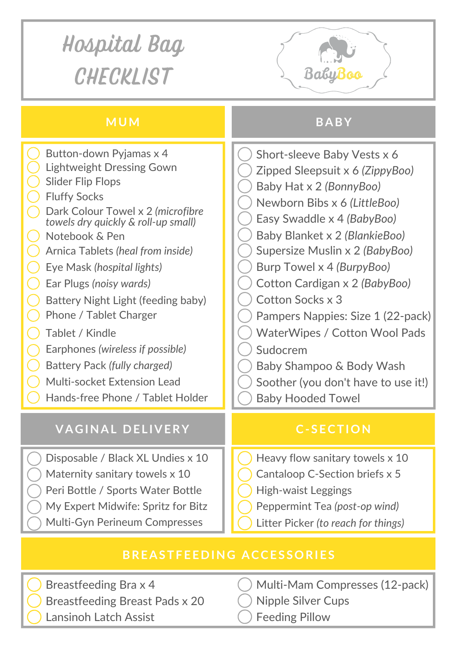## Hospital Bag **CHECKLIST** BabyBoo **MUM BABY** Button-down Pyjamas x 4

| Button-down Pyjamas x 4                                                  | Short-sleeve Baby Vests x 6          |
|--------------------------------------------------------------------------|--------------------------------------|
| <b>Lightweight Dressing Gown</b>                                         | Zipped Sleepsuit x 6 (ZippyBoo)      |
| <b>Slider Flip Flops</b>                                                 | Baby Hat x 2 (BonnyBoo)              |
| <b>Fluffy Socks</b>                                                      | Newborn Bibs x 6 (LittleBoo)         |
| Dark Colour Towel x 2 (microfibre<br>towels dry quickly & roll-up small) | Easy Swaddle x 4 (BabyBoo)           |
| Notebook & Pen                                                           | Baby Blanket x 2 (BlankieBoo)        |
| Arnica Tablets (heal from inside)                                        | Supersize Muslin x 2 (BabyBoo)       |
| Eye Mask (hospital lights)                                               | Burp Towel x 4 (BurpyBoo)            |
| Ear Plugs (noisy wards)                                                  | Cotton Cardigan x 2 (BabyBoo)        |
| Battery Night Light (feeding baby)                                       | Cotton Socks x 3                     |
| Phone / Tablet Charger                                                   | Pampers Nappies: Size 1 (22-pack)    |
| Tablet / Kindle                                                          | <b>WaterWipes / Cotton Wool Pads</b> |
| Earphones (wireless if possible)                                         | Sudocrem                             |
| Battery Pack (fully charged)                                             | Baby Shampoo & Body Wash             |
| <b>Multi-socket Extension Lead</b>                                       | Soother (you don't have to use it!)  |
| Hands-free Phone / Tablet Holder                                         | <b>Baby Hooded Towel</b>             |
|                                                                          |                                      |
| <b>VAGINAL DELIVERY</b>                                                  | <b>C-SECTION</b>                     |
| Disposable / Black XL Undies x 10                                        | Heavy flow sanitary towels x 10      |
| Maternity sanitary towels x 10                                           | Cantaloop C-Section briefs x 5       |
| Peri Bottle / Sports Water Bottle                                        | <b>High-waist Leggings</b>           |
| My Expert Midwife: Spritz for Bitz                                       | Peppermint Tea (post-op wind)        |
| <b>Multi-Gyn Perineum Compresses</b>                                     | Litter Picker (to reach for things)  |
|                                                                          |                                      |

## **BREASTFEEDING ACCES S O RIES**

Breastfeeding Bra x 4 Breastfeeding Breast Pads x 20 Lansinoh Latch Assist

- Multi-Mam Compresses (12-pack)
- Nipple Silver Cups
- Feeding Pillow